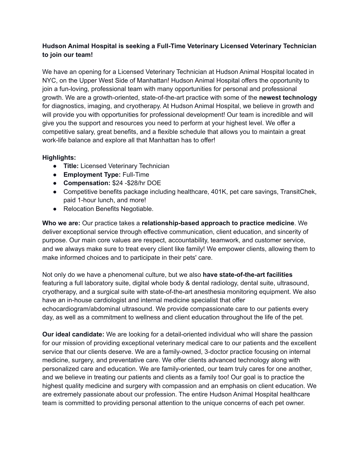## **Hudson Animal Hospital is seeking a Full-Time Veterinary Licensed Veterinary Technician to join our team!**

We have an opening for a Licensed Veterinary Technician at Hudson Animal Hospital located in NYC, on the Upper West Side of Manhattan! Hudson Animal Hospital offers the opportunity to join a fun-loving, professional team with many opportunities for personal and professional growth. We are a growth-oriented, state-of-the-art practice with some of the **newest technology** for diagnostics, imaging, and cryotherapy. At Hudson Animal Hospital, we believe in growth and will provide you with opportunities for professional development! Our team is incredible and will give you the support and resources you need to perform at your highest level. We offer a competitive salary, great benefits, and a flexible schedule that allows you to maintain a great work-life balance and explore all that Manhattan has to offer!

## **Highlights:**

- **Title:** Licensed Veterinary Technician
- **Employment Type:** Full-Time
- **Compensation:** \$24 -\$28/hr DOE
- Competitive benefits package including healthcare, 401K, pet care savings, TransitChek, paid 1-hour lunch, and more!
- Relocation Benefits Negotiable.

**Who we are:** Our practice takes a **relationship-based approach to practice medicine**. We deliver exceptional service through effective communication, client education, and sincerity of purpose. Our main core values are respect, accountability, teamwork, and customer service, and we always make sure to treat every client like family! We empower clients, allowing them to make informed choices and to participate in their pets' care.

Not only do we have a phenomenal culture, but we also **have state-of-the-art facilities** featuring a full laboratory suite, digital whole body & dental radiology, dental suite, ultrasound, cryotherapy, and a surgical suite with state-of-the-art anesthesia monitoring equipment. We also have an in-house cardiologist and internal medicine specialist that offer echocardiogram/abdominal ultrasound. We provide compassionate care to our patients every day, as well as a commitment to wellness and client education throughout the life of the pet.

**Our ideal candidate:** We are looking for a detail-oriented individual who will share the passion for our mission of providing exceptional veterinary medical care to our patients and the excellent service that our clients deserve. We are a family-owned, 3-doctor practice focusing on internal medicine, surgery, and preventative care. We offer clients advanced technology along with personalized care and education. We are family-oriented, our team truly cares for one another, and we believe in treating our patients and clients as a family too! Our goal is to practice the highest quality medicine and surgery with compassion and an emphasis on client education. We are extremely passionate about our profession. The entire Hudson Animal Hospital healthcare team is committed to providing personal attention to the unique concerns of each pet owner.